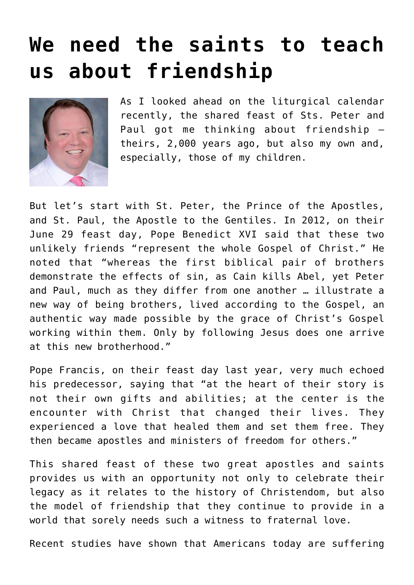## **[We need the saints to teach](https://www.osvnews.com/2022/06/14/we-need-the-saints-to-teach-us-about-friendship/) [us about friendship](https://www.osvnews.com/2022/06/14/we-need-the-saints-to-teach-us-about-friendship/)**



As I looked ahead on the liturgical calendar recently, the shared feast of Sts. Peter and Paul got me thinking about friendship theirs, 2,000 years ago, but also my own and, especially, those of my children.

But let's start with St. Peter, the Prince of the Apostles, and St. Paul, the Apostle to the Gentiles. In 2012, on their June 29 feast day, Pope Benedict XVI said that these two unlikely friends "represent the whole Gospel of Christ." He noted that "whereas the first biblical pair of brothers demonstrate the effects of sin, as Cain kills Abel, yet Peter and Paul, much as they differ from one another … illustrate a new way of being brothers, lived according to the Gospel, an authentic way made possible by the grace of Christ's Gospel working within them. Only by following Jesus does one arrive at this new brotherhood."

Pope Francis, on their feast day last year, very much echoed his predecessor, saying that "at the heart of their story is not their own gifts and abilities; at the center is the encounter with Christ that changed their lives. They experienced a love that healed them and set them free. They then became apostles and ministers of freedom for others."

This shared feast of these two great apostles and saints provides us with an opportunity not only to celebrate their legacy as it relates to the history of Christendom, but also the model of friendship that they continue to provide in a world that sorely needs such a witness to fraternal love.

Recent studies have shown that Americans today are suffering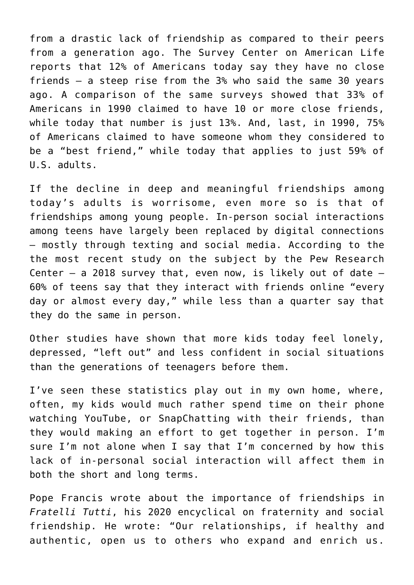from a drastic lack of friendship as compared to their peers from a generation ago. The Survey Center on American Life reports that 12% of Americans today say they have no close friends — a steep rise from the 3% who said the same 30 years ago. A comparison of the same surveys showed that 33% of Americans in 1990 claimed to have 10 or more close friends, while today that number is just 13%. And, last, in 1990, 75% of Americans claimed to have someone whom they considered to be a "best friend," while today that applies to just 59% of U.S. adults.

If the decline in deep and meaningful friendships among today's adults is worrisome, even more so is that of friendships among young people. In-person social interactions among teens have largely been replaced by digital connections — mostly through texting and social media. According to the the most recent study on the subject by the Pew Research Center  $-$  a 2018 survey that, even now, is likely out of date  $-$ 60% of teens say that they interact with friends online "every day or almost every day," while less than a quarter say that they do the same in person.

Other studies have shown that more kids today feel lonely, depressed, "left out" and less confident in social situations than the generations of teenagers before them.

I've seen these statistics play out in my own home, where, often, my kids would much rather spend time on their phone watching YouTube, or SnapChatting with their friends, than they would making an effort to get together in person. I'm sure I'm not alone when I say that I'm concerned by how this lack of in-personal social interaction will affect them in both the short and long terms.

Pope Francis wrote about the importance of friendships in *Fratelli Tutti*, his 2020 encyclical on fraternity and social friendship. He wrote: "Our relationships, if healthy and authentic, open us to others who expand and enrich us.